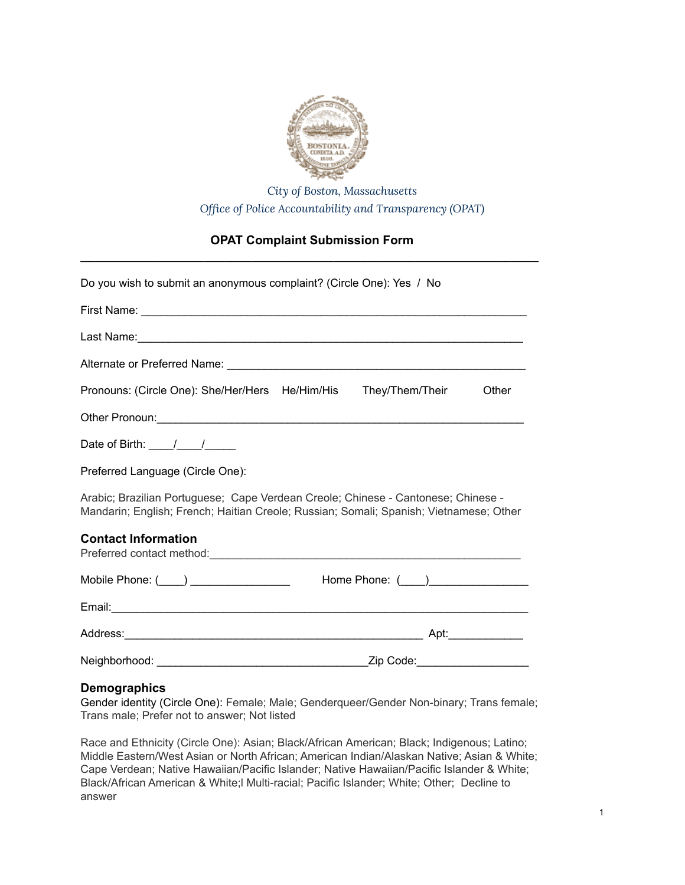

# *City of Boston, Massachusetts Office of Police Accountability and Transparency (OPAT)*

## **OPAT Complaint Submission Form \_\_\_\_\_\_\_\_\_\_\_\_\_\_\_\_\_\_\_\_\_\_\_\_\_\_\_\_\_\_\_\_\_\_\_\_\_\_\_\_\_\_\_\_\_\_\_\_\_\_\_\_\_\_\_\_\_\_\_\_\_\_\_\_\_\_\_**

Do you wish to submit an anonymous complaint? (Circle One): Yes / No

| Pronouns: (Circle One): She/Her/Hers He/Him/His They/Them/Their                                                                                                             |  |                               | Other |  |  |
|-----------------------------------------------------------------------------------------------------------------------------------------------------------------------------|--|-------------------------------|-------|--|--|
|                                                                                                                                                                             |  |                               |       |  |  |
| Date of Birth: $\frac{1}{\sqrt{2}}$                                                                                                                                         |  |                               |       |  |  |
| Preferred Language (Circle One):                                                                                                                                            |  |                               |       |  |  |
| Arabic; Brazilian Portuguese; Cape Verdean Creole; Chinese - Cantonese; Chinese -<br>Mandarin; English; French; Haitian Creole; Russian; Somali; Spanish; Vietnamese; Other |  |                               |       |  |  |
| <b>Contact Information</b>                                                                                                                                                  |  |                               |       |  |  |
| Mobile Phone: (____) _________________                                                                                                                                      |  |                               |       |  |  |
|                                                                                                                                                                             |  |                               |       |  |  |
|                                                                                                                                                                             |  |                               |       |  |  |
|                                                                                                                                                                             |  | Zip Code:____________________ |       |  |  |

#### **Demographics**

Gender identity (Circle One): Female; Male; Genderqueer/Gender Non-binary; Trans female; Trans male; Prefer not to answer; Not listed

Race and Ethnicity (Circle One): Asian; Black/African American; Black; Indigenous; Latino; Middle Eastern/West Asian or North African; American Indian/Alaskan Native; Asian & White; Cape Verdean; Native Hawaiian/Pacific Islander; Native Hawaiian/Pacific Islander & White; Black/African American & White;l Multi-racial; Pacific Islander; White; Other; Decline to answer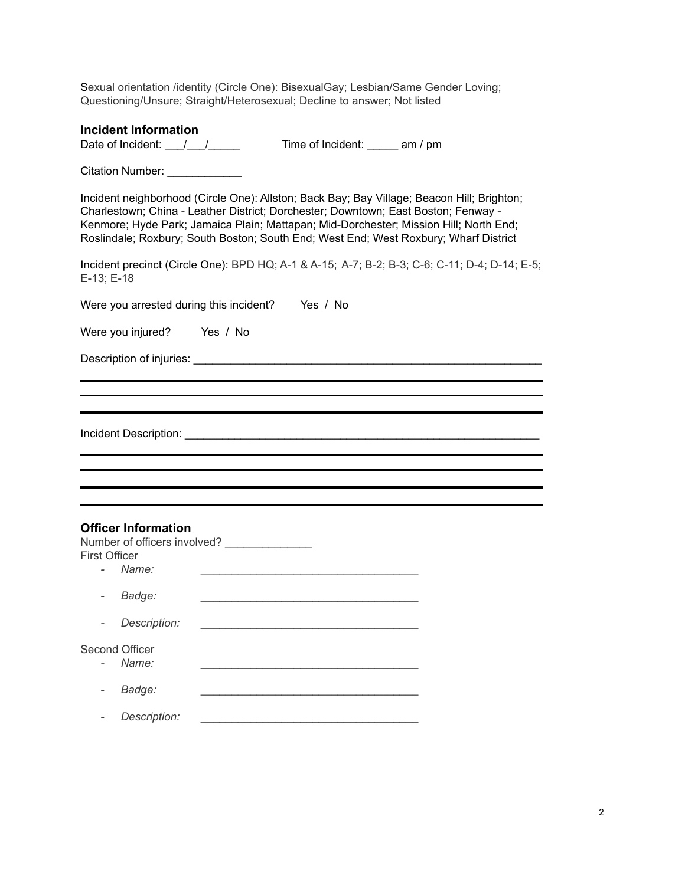Sexual orientation /identity (Circle One): BisexualGay; Lesbian/Same Gender Loving; Questioning/Unsure; Straight/Heterosexual; Decline to answer; Not listed

| <b>Incident Information</b><br>Date of Incident: $\frac{1}{\sqrt{1-\frac{1}{2}}}$<br>Time of Incident: ______ am / pm                                                                                                                                                                                                                                             |  |  |  |  |  |  |  |
|-------------------------------------------------------------------------------------------------------------------------------------------------------------------------------------------------------------------------------------------------------------------------------------------------------------------------------------------------------------------|--|--|--|--|--|--|--|
| Citation Number: _____________                                                                                                                                                                                                                                                                                                                                    |  |  |  |  |  |  |  |
| Incident neighborhood (Circle One): Allston; Back Bay; Bay Village; Beacon Hill; Brighton;<br>Charlestown; China - Leather District; Dorchester; Downtown; East Boston; Fenway -<br>Kenmore; Hyde Park; Jamaica Plain; Mattapan; Mid-Dorchester; Mission Hill; North End;<br>Roslindale; Roxbury; South Boston; South End; West End; West Roxbury; Wharf District |  |  |  |  |  |  |  |
| Incident precinct (Circle One): BPD HQ; A-1 & A-15; A-7; B-2; B-3; C-6; C-11; D-4; D-14; E-5;<br>E-13; E-18                                                                                                                                                                                                                                                       |  |  |  |  |  |  |  |
| Were you arrested during this incident? Yes / No                                                                                                                                                                                                                                                                                                                  |  |  |  |  |  |  |  |
| Were you injured? Yes / No                                                                                                                                                                                                                                                                                                                                        |  |  |  |  |  |  |  |
|                                                                                                                                                                                                                                                                                                                                                                   |  |  |  |  |  |  |  |
|                                                                                                                                                                                                                                                                                                                                                                   |  |  |  |  |  |  |  |
| <b>Officer Information</b>                                                                                                                                                                                                                                                                                                                                        |  |  |  |  |  |  |  |
| <b>First Officer</b>                                                                                                                                                                                                                                                                                                                                              |  |  |  |  |  |  |  |
| Name:                                                                                                                                                                                                                                                                                                                                                             |  |  |  |  |  |  |  |
| Badge:                                                                                                                                                                                                                                                                                                                                                            |  |  |  |  |  |  |  |
| Description:                                                                                                                                                                                                                                                                                                                                                      |  |  |  |  |  |  |  |
| Second Officer<br>Name:                                                                                                                                                                                                                                                                                                                                           |  |  |  |  |  |  |  |
| Badge:                                                                                                                                                                                                                                                                                                                                                            |  |  |  |  |  |  |  |
| Description:                                                                                                                                                                                                                                                                                                                                                      |  |  |  |  |  |  |  |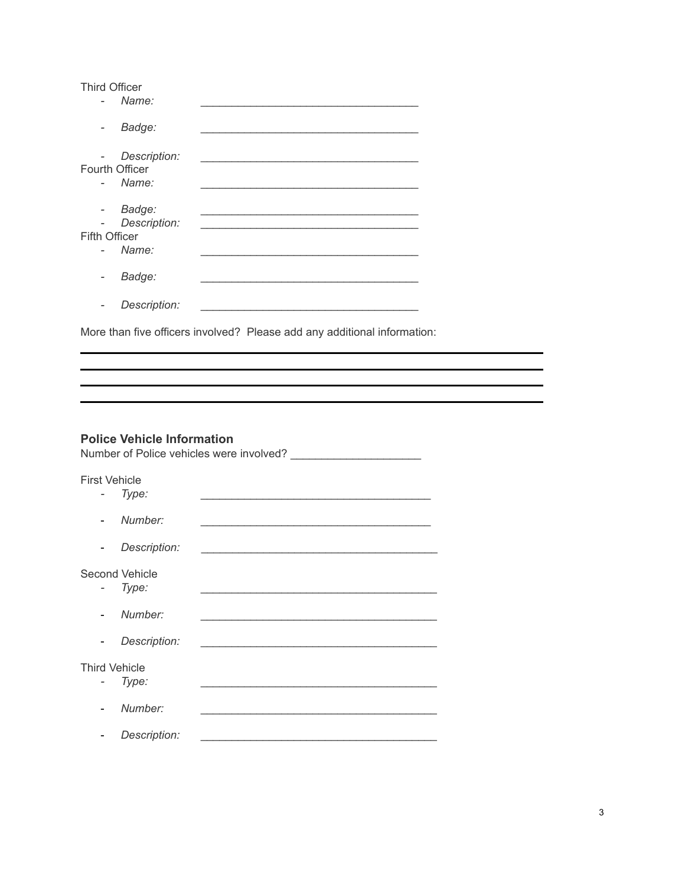| <b>Third Officer</b>                                                                                                                 |  |
|--------------------------------------------------------------------------------------------------------------------------------------|--|
| Name:<br>$\overline{\phantom{0}}$                                                                                                    |  |
| Badge:<br>$\overline{\phantom{a}}$                                                                                                   |  |
| Description:<br>$\overline{\phantom{0}}$<br>Fourth Officer<br>- Name:                                                                |  |
| Badge:<br>$\qquad \qquad -$<br>Description:<br>$\overline{\phantom{0}}$<br><b>Fifth Officer</b><br>Name:<br>$\overline{\phantom{0}}$ |  |
| Badge:                                                                                                                               |  |
| Description:                                                                                                                         |  |

More than five officers involved? Please add any additional information:

#### **Police Vehicle Information**

Number of Police vehicles were involved? \_\_\_\_\_\_\_\_\_\_\_\_\_\_\_\_\_\_\_\_\_

### First Vehicle

*- Type: \_\_\_\_\_\_\_\_\_\_\_\_\_\_\_\_\_\_\_\_\_\_\_\_\_\_\_\_\_\_\_\_\_\_\_\_\_* - *Number: \_\_\_\_\_\_\_\_\_\_\_\_\_\_\_\_\_\_\_\_\_\_\_\_\_\_\_\_\_\_\_\_\_\_\_\_\_* - *Description:* \_\_\_\_\_\_\_\_\_\_\_\_\_\_\_\_\_\_\_\_\_\_\_\_\_\_\_\_\_\_\_\_\_\_\_\_\_\_ Second Vehicle *- Type: \_\_\_\_\_\_\_\_\_\_\_\_\_\_\_\_\_\_\_\_\_\_\_\_\_\_\_\_\_\_\_\_\_\_\_\_\_\_* - *Number: \_\_\_\_\_\_\_\_\_\_\_\_\_\_\_\_\_\_\_\_\_\_\_\_\_\_\_\_\_\_\_\_\_\_\_\_\_\_* - *Description: \_\_\_\_\_\_\_\_\_\_\_\_\_\_\_\_\_\_\_\_\_\_\_\_\_\_\_\_\_\_\_\_\_\_\_\_\_\_* Third Vehicle *- Type: \_\_\_\_\_\_\_\_\_\_\_\_\_\_\_\_\_\_\_\_\_\_\_\_\_\_\_\_\_\_\_\_\_\_\_\_\_\_* - *Number: \_\_\_\_\_\_\_\_\_\_\_\_\_\_\_\_\_\_\_\_\_\_\_\_\_\_\_\_\_\_\_\_\_\_\_\_\_\_* - *Description: \_\_\_\_\_\_\_\_\_\_\_\_\_\_\_\_\_\_\_\_\_\_\_\_\_\_\_\_\_\_\_\_\_\_\_\_\_\_*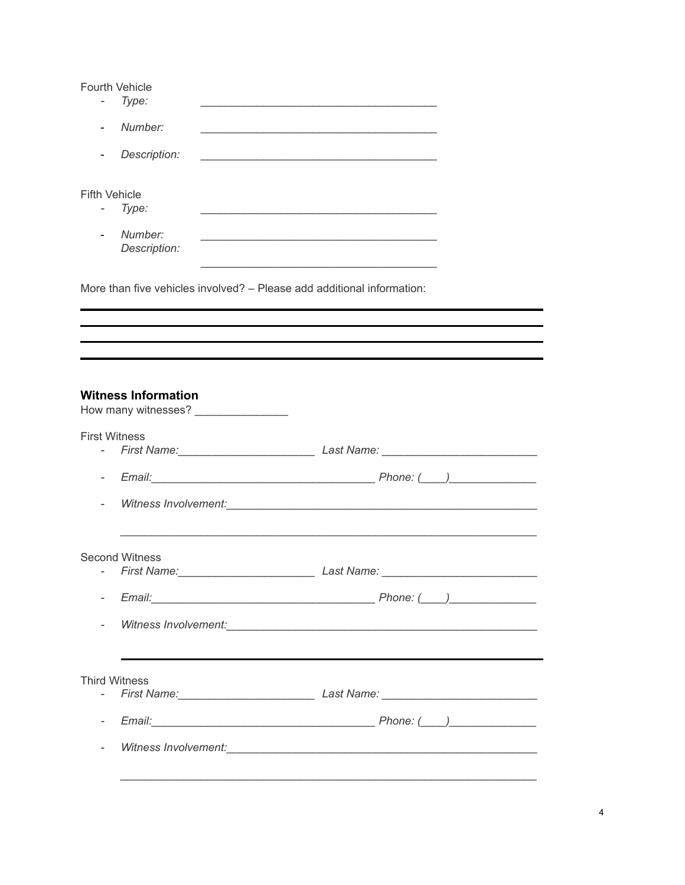| <b>Fourth Vehicle</b>    | Type:                                |                                                                                                                        |            |                                                                                                                                                                                                                                      |
|--------------------------|--------------------------------------|------------------------------------------------------------------------------------------------------------------------|------------|--------------------------------------------------------------------------------------------------------------------------------------------------------------------------------------------------------------------------------------|
|                          | Number:                              |                                                                                                                        |            |                                                                                                                                                                                                                                      |
|                          | Description:                         |                                                                                                                        |            |                                                                                                                                                                                                                                      |
| <b>Fifth Vehicle</b>     | Type:                                |                                                                                                                        |            |                                                                                                                                                                                                                                      |
|                          | Number:<br>Description:              | <u> 1950 - Johann John Stone, market fan de Fryske kunstne fan de Amerikaanske kunstne fan de Amerikaanske kunstne</u> |            |                                                                                                                                                                                                                                      |
|                          |                                      | More than five vehicles involved? – Please add additional information:                                                 |            |                                                                                                                                                                                                                                      |
|                          |                                      |                                                                                                                        |            | ,我们也不会有什么。""我们的人,我们也不会有什么?""我们的人,我们也不会有什么?""我们的人,我们也不会有什么?""我们的人,我们也不会有什么?""我们的人                                                                                                                                                     |
|                          |                                      |                                                                                                                        |            |                                                                                                                                                                                                                                      |
|                          | <b>Witness Information</b>           | How many witnesses? _______________                                                                                    |            |                                                                                                                                                                                                                                      |
| <b>First Witness</b>     |                                      |                                                                                                                        |            | First Name: <u>Name: Name: Name: Name: Name: Name: Name: Name: Name: Name: Name: Name: Name: Name: Name: Name: Name: Name: Name: Name: Name: Name: Name: Name: Name: Name: Name: Name: Name: Name: Name: Name: Name: Name: Name:</u> |
| $\overline{\phantom{a}}$ |                                      |                                                                                                                        |            | Email: Phone: ( )                                                                                                                                                                                                                    |
|                          |                                      |                                                                                                                        |            |                                                                                                                                                                                                                                      |
|                          | <b>Second Witness</b><br>First Name: |                                                                                                                        | Last Name: |                                                                                                                                                                                                                                      |
| $\overline{\phantom{a}}$ |                                      |                                                                                                                        |            |                                                                                                                                                                                                                                      |
|                          |                                      |                                                                                                                        |            |                                                                                                                                                                                                                                      |
| <b>Third Witness</b>     |                                      |                                                                                                                        |            |                                                                                                                                                                                                                                      |
|                          |                                      |                                                                                                                        |            |                                                                                                                                                                                                                                      |
|                          |                                      |                                                                                                                        |            |                                                                                                                                                                                                                                      |
| $\overline{\phantom{a}}$ |                                      |                                                                                                                        |            | Witness Involvement: North American Contract of the American Contract of the American Contract of the American                                                                                                                       |